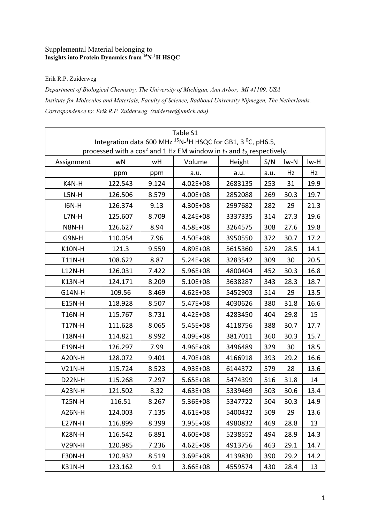## Supplemental Material belonging to **Insights into Protein Dynamics from 15N-1 H HSQC**

## Erik R.P. Zuiderweg

*Department of Biological Chemistry, The University of Michigan, Ann Arbor, MI 41109, USA Institute for Molecules and Materials, Faculty of Science, Radboud University Nijmegen, The Netherlands. Correspondence to: Erik R.P. Zuiderweg (zuiderwe@umich.edu)*

| Table S1                                                                                        |                                                                                                                                        |       |              |         |      |      |      |  |  |
|-------------------------------------------------------------------------------------------------|----------------------------------------------------------------------------------------------------------------------------------------|-------|--------------|---------|------|------|------|--|--|
| Integration data 600 MHz <sup>15</sup> N- <sup>1</sup> H HSQC for GB1, 3 <sup>0</sup> C, pH6.5, |                                                                                                                                        |       |              |         |      |      |      |  |  |
|                                                                                                 | processed with a cos <sup>2</sup> and 1 Hz EM window in $t_1$ and $t_2$ , respectively.<br>S/N<br>Volume<br>wN<br>wH<br>Height<br>lw-N |       |              |         |      |      |      |  |  |
| Assignment                                                                                      |                                                                                                                                        |       |              |         |      |      | lw-H |  |  |
|                                                                                                 | ppm                                                                                                                                    | ppm   | a.u.         | a.u.    | a.u. | Hz   | Hz   |  |  |
| K4N-H                                                                                           | 122.543                                                                                                                                | 9.124 | $4.02E + 08$ | 2683135 | 253  | 31   | 19.9 |  |  |
| $L5N-H$                                                                                         | 126.506                                                                                                                                | 8.579 | 4.00E+08     | 2852088 | 269  | 30.3 | 19.7 |  |  |
| <b>I6N-H</b>                                                                                    | 126.374                                                                                                                                | 9.13  | 4.30E+08     | 2997682 | 282  | 29   | 21.3 |  |  |
| L7N-H                                                                                           | 125.607                                                                                                                                | 8.709 | 4.24E+08     | 3337335 | 314  | 27.3 | 19.6 |  |  |
| N8N-H                                                                                           | 126.627                                                                                                                                | 8.94  | 4.58E+08     | 3264575 | 308  | 27.6 | 19.8 |  |  |
| G9N-H                                                                                           | 110.054                                                                                                                                | 7.96  | 4.50E+08     | 3950550 | 372  | 30.7 | 17.2 |  |  |
| <b>K10N-H</b>                                                                                   | 121.3                                                                                                                                  | 9.559 | 4.89E+08     | 5615360 | 529  | 28.5 | 14.1 |  |  |
| <b>T11N-H</b>                                                                                   | 108.622                                                                                                                                | 8.87  | $5.24E + 08$ | 3283542 | 309  | 30   | 20.5 |  |  |
| <b>L12N-H</b>                                                                                   | 126.031                                                                                                                                | 7.422 | 5.96E+08     | 4800404 | 452  | 30.3 | 16.8 |  |  |
| <b>K13N-H</b>                                                                                   | 124.171                                                                                                                                | 8.209 | $5.10E + 08$ | 3638287 | 343  | 28.3 | 18.7 |  |  |
| G14N-H                                                                                          | 109.56                                                                                                                                 | 8.469 | $4.62E + 08$ | 5452903 | 514  | 29   | 13.5 |  |  |
| <b>E15N-H</b>                                                                                   | 118.928                                                                                                                                | 8.507 | $5.47E + 08$ | 4030626 | 380  | 31.8 | 16.6 |  |  |
| <b>T16N-H</b>                                                                                   | 115.767                                                                                                                                | 8.731 | 4.42E+08     | 4283450 | 404  | 29.8 | 15   |  |  |
| <b>T17N-H</b>                                                                                   | 111.628                                                                                                                                | 8.065 | $5.45E + 08$ | 4118756 | 388  | 30.7 | 17.7 |  |  |
| <b>T18N-H</b>                                                                                   | 114.821                                                                                                                                | 8.992 | 4.09E+08     | 3817011 | 360  | 30.3 | 15.7 |  |  |
| E19N-H                                                                                          | 126.297                                                                                                                                | 7.99  | 4.96E+08     | 3496489 | 329  | 30   | 18.5 |  |  |
| A20N-H                                                                                          | 128.072                                                                                                                                | 9.401 | 4.70E+08     | 4166918 | 393  | 29.2 | 16.6 |  |  |
| $V21N-H$                                                                                        | 115.724                                                                                                                                | 8.523 | 4.93E+08     | 6144372 | 579  | 28   | 13.6 |  |  |
| <b>D22N-H</b>                                                                                   | 115.268                                                                                                                                | 7.297 | $5.65E + 08$ | 5474399 | 516  | 31.8 | 14   |  |  |
| A23N-H                                                                                          | 121.502                                                                                                                                | 8.32  | 4.63E+08     | 5339469 | 503  | 30.6 | 13.4 |  |  |
| <b>T25N-H</b>                                                                                   | 116.51                                                                                                                                 | 8.267 | 5.36E+08     | 5347722 | 504  | 30.3 | 14.9 |  |  |
| A26N-H                                                                                          | 124.003                                                                                                                                | 7.135 | $4.61E + 08$ | 5400432 | 509  | 29   | 13.6 |  |  |
| <b>E27N-H</b>                                                                                   | 116.899                                                                                                                                | 8.399 | $3.95E + 08$ | 4980832 | 469  | 28.8 | 13   |  |  |
| <b>K28N-H</b>                                                                                   | 116.542                                                                                                                                | 6.891 | 4.60E+08     | 5238552 | 494  | 28.9 | 14.3 |  |  |
| <b>V29N-H</b>                                                                                   | 120.985                                                                                                                                | 7.236 | $4.62E + 08$ | 4913756 | 463  | 29.1 | 14.7 |  |  |
| F30N-H                                                                                          | 120.932                                                                                                                                | 8.519 | $3.69E + 08$ | 4139830 | 390  | 29.2 | 14.2 |  |  |
| K31N-H                                                                                          | 123.162                                                                                                                                | 9.1   | 3.66E+08     | 4559574 | 430  | 28.4 | 13   |  |  |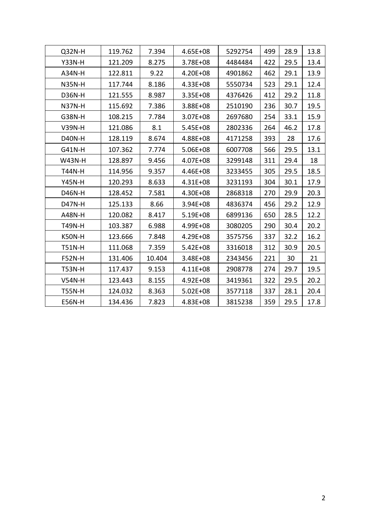| Q32N-H        | 119.762 | 7.394  | 4.65E+08     | 5292754 | 499 | 28.9 | 13.8 |
|---------------|---------|--------|--------------|---------|-----|------|------|
| <b>Y33N-H</b> | 121.209 | 8.275  | 3.78E+08     | 4484484 | 422 | 29.5 | 13.4 |
| A34N-H        | 122.811 | 9.22   | 4.20E+08     | 4901862 | 462 | 29.1 | 13.9 |
| <b>N35N-H</b> | 117.744 | 8.186  | 4.33E+08     | 5550734 | 523 | 29.1 | 12.4 |
| D36N-H        | 121.555 | 8.987  | $3.35E + 08$ | 4376426 | 412 | 29.2 | 11.8 |
| <b>N37N-H</b> | 115.692 | 7.386  | 3.88E+08     | 2510190 | 236 | 30.7 | 19.5 |
| G38N-H        | 108.215 | 7.784  | $3.07E + 08$ | 2697680 | 254 | 33.1 | 15.9 |
| <b>V39N-H</b> | 121.086 | 8.1    | $5.45E + 08$ | 2802336 | 264 | 46.2 | 17.8 |
| D40N-H        | 128.119 | 8.674  | 4.88E+08     | 4171258 | 393 | 28   | 17.6 |
| G41N-H        | 107.362 | 7.774  | 5.06E+08     | 6007708 | 566 | 29.5 | 13.1 |
| <b>W43N-H</b> | 128.897 | 9.456  | 4.07E+08     | 3299148 | 311 | 29.4 | 18   |
| <b>T44N-H</b> | 114.956 | 9.357  | 4.46E+08     | 3233455 | 305 | 29.5 | 18.5 |
| <b>Y45N-H</b> | 120.293 | 8.633  | $4.31E + 08$ | 3231193 | 304 | 30.1 | 17.9 |
| D46N-H        | 128.452 | 7.581  | 4.30E+08     | 2868318 | 270 | 29.9 | 20.3 |
| <b>D47N-H</b> | 125.133 | 8.66   | 3.94E+08     | 4836374 | 456 | 29.2 | 12.9 |
| <b>A48N-H</b> | 120.082 | 8.417  | $5.19E + 08$ | 6899136 | 650 | 28.5 | 12.2 |
| <b>T49N-H</b> | 103.387 | 6.988  | 4.99E+08     | 3080205 | 290 | 30.4 | 20.2 |
| K50N-H        | 123.666 | 7.848  | 4.29E+08     | 3575756 | 337 | 32.2 | 16.2 |
| <b>T51N-H</b> | 111.068 | 7.359  | $5.42E + 08$ | 3316018 | 312 | 30.9 | 20.5 |
| <b>F52N-H</b> | 131.406 | 10.404 | 3.48E+08     | 2343456 | 221 | 30   | 21   |
| <b>T53N-H</b> | 117.437 | 9.153  | $4.11E + 08$ | 2908778 | 274 | 29.7 | 19.5 |
| <b>V54N-H</b> | 123.443 | 8.155  | 4.92E+08     | 3419361 | 322 | 29.5 | 20.2 |
| <b>T55N-H</b> | 124.032 | 8.363  | $5.02E + 08$ | 3577118 | 337 | 28.1 | 20.4 |
| <b>E56N-H</b> | 134.436 | 7.823  | 4.83E+08     | 3815238 | 359 | 29.5 | 17.8 |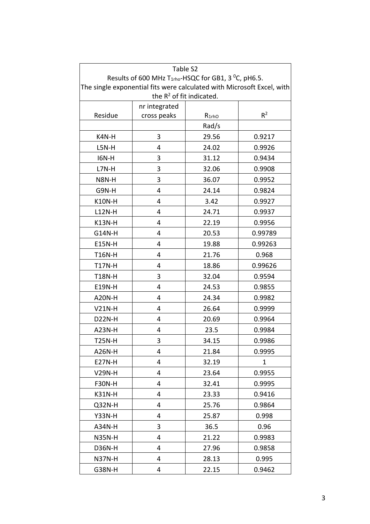| Table S2                                                               |                                                                       |            |             |  |  |  |  |
|------------------------------------------------------------------------|-----------------------------------------------------------------------|------------|-------------|--|--|--|--|
|                                                                        | Results of 600 MHz $T_{1rho}$ -HSQC for GB1, 3 <sup>o</sup> C, pH6.5. |            |             |  |  |  |  |
| The single exponential fits were calculated with Microsoft Excel, with |                                                                       |            |             |  |  |  |  |
| the R <sup>2</sup> of fit indicated.                                   |                                                                       |            |             |  |  |  |  |
| Residue                                                                | nr integrated<br>cross peaks                                          | $R_{1rhO}$ | $R^2$       |  |  |  |  |
|                                                                        |                                                                       |            |             |  |  |  |  |
|                                                                        |                                                                       | Rad/s      |             |  |  |  |  |
| K4N-H                                                                  | 3                                                                     | 29.56      | 0.9217      |  |  |  |  |
| L5N-H                                                                  | 4                                                                     | 24.02      | 0.9926      |  |  |  |  |
| <b>I6N-H</b>                                                           | 3                                                                     | 31.12      | 0.9434      |  |  |  |  |
| L7N-H                                                                  | 3                                                                     | 32.06      | 0.9908      |  |  |  |  |
| N8N-H                                                                  | 3                                                                     | 36.07      | 0.9952      |  |  |  |  |
| G9N-H                                                                  | 4                                                                     | 24.14      | 0.9824      |  |  |  |  |
| <b>K10N-H</b>                                                          | 4                                                                     | 3.42       | 0.9927      |  |  |  |  |
| <b>L12N-H</b>                                                          | 4                                                                     | 24.71      | 0.9937      |  |  |  |  |
| <b>K13N-H</b>                                                          | 4                                                                     | 22.19      | 0.9956      |  |  |  |  |
| G14N-H                                                                 | 4                                                                     | 20.53      | 0.99789     |  |  |  |  |
| <b>E15N-H</b>                                                          | 4                                                                     | 19.88      | 0.99263     |  |  |  |  |
| <b>T16N-H</b>                                                          | 4                                                                     | 21.76      | 0.968       |  |  |  |  |
| <b>T17N-H</b>                                                          | 4                                                                     | 18.86      | 0.99626     |  |  |  |  |
| <b>T18N-H</b>                                                          | 3                                                                     | 32.04      | 0.9594      |  |  |  |  |
| <b>E19N-H</b>                                                          | 4                                                                     | 24.53      | 0.9855      |  |  |  |  |
| <b>A20N-H</b>                                                          | 4                                                                     | 24.34      | 0.9982      |  |  |  |  |
| $V21N-H$                                                               | 4                                                                     | 26.64      | 0.9999      |  |  |  |  |
| <b>D22N-H</b>                                                          | 4                                                                     | 20.69      | 0.9964      |  |  |  |  |
| <b>A23N-H</b>                                                          | 4                                                                     | 23.5       | 0.9984      |  |  |  |  |
| T25N-H                                                                 | 3                                                                     | 34.15      | 0.9986      |  |  |  |  |
| A26N-H                                                                 | 4                                                                     | 21.84      | 0.9995      |  |  |  |  |
| <b>E27N-H</b>                                                          | 4                                                                     | 32.19      | $\mathbf 1$ |  |  |  |  |
| <b>V29N-H</b>                                                          | 4                                                                     | 23.64      | 0.9955      |  |  |  |  |
| <b>F30N-H</b>                                                          | 4                                                                     | 32.41      | 0.9995      |  |  |  |  |
| <b>K31N-H</b>                                                          | 4                                                                     | 23.33      | 0.9416      |  |  |  |  |
| Q32N-H                                                                 | 4                                                                     | 25.76      | 0.9864      |  |  |  |  |
| <b>Y33N-H</b>                                                          | 4                                                                     | 25.87      | 0.998       |  |  |  |  |
| A34N-H                                                                 | 3                                                                     | 36.5       | 0.96        |  |  |  |  |
| <b>N35N-H</b>                                                          | 4                                                                     | 21.22      | 0.9983      |  |  |  |  |
| <b>D36N-H</b>                                                          | 4                                                                     | 27.96      | 0.9858      |  |  |  |  |
| <b>N37N-H</b>                                                          | 4                                                                     | 28.13      | 0.995       |  |  |  |  |
| G38N-H                                                                 | 4                                                                     | 22.15      | 0.9462      |  |  |  |  |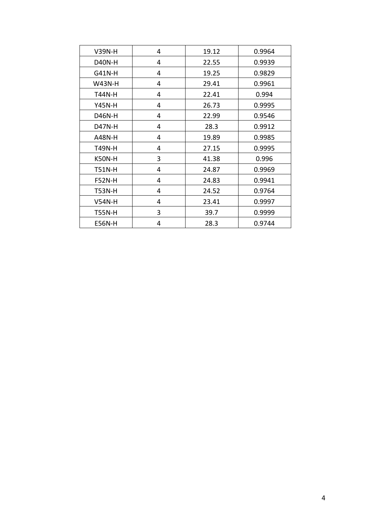| <b>V39N-H</b> | 4 | 19.12 | 0.9964 |
|---------------|---|-------|--------|
| <b>D40N-H</b> | 4 | 22.55 | 0.9939 |
| G41N-H        | 4 | 19.25 | 0.9829 |
| <b>W43N-H</b> | 4 | 29.41 | 0.9961 |
| <b>T44N-H</b> | 4 | 22.41 | 0.994  |
| <b>Y45N-H</b> | 4 | 26.73 | 0.9995 |
| D46N-H        | 4 | 22.99 | 0.9546 |
| D47N-H        | 4 | 28.3  | 0.9912 |
| <b>A48N-H</b> | 4 | 19.89 | 0.9985 |
| <b>T49N-H</b> | 4 | 27.15 | 0.9995 |
| K50N-H        | 3 | 41.38 | 0.996  |
| <b>T51N-H</b> | 4 | 24.87 | 0.9969 |
| <b>F52N-H</b> | 4 | 24.83 | 0.9941 |
| <b>T53N-H</b> | 4 | 24.52 | 0.9764 |
| <b>V54N-H</b> | 4 | 23.41 | 0.9997 |
| <b>T55N-H</b> | 3 | 39.7  | 0.9999 |
| <b>E56N-H</b> | 4 | 28.3  | 0.9744 |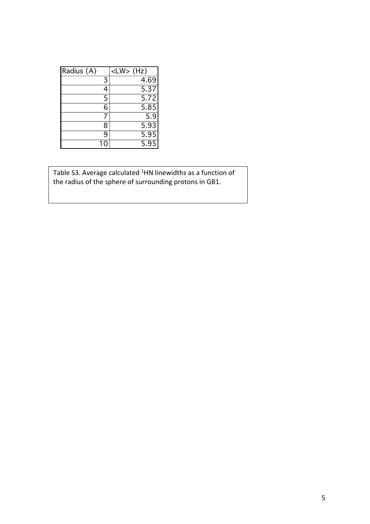| Radius (A) |   | <lw> (Hz)</lw> |
|------------|---|----------------|
|            | 3 | 4.69           |
|            |   | 5.37           |
|            | 5 | 5.72           |
|            | 6 | 5.85           |
|            |   | 5.9            |
|            | 8 | 5.93           |
|            | q | 5.95           |
|            |   | 5.95           |

Table S3. Average calculated <sup>1</sup>HN linewidths as a function of the radius of the sphere of surrounding protons in GB1.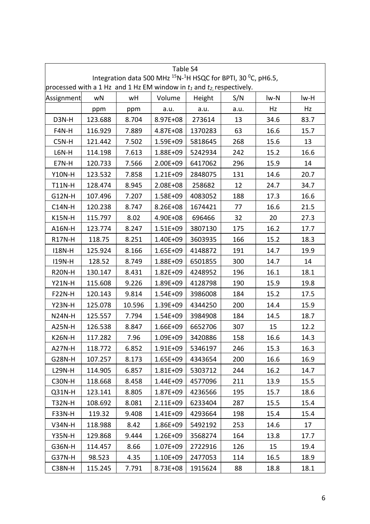| Table S4<br>Integration data 500 MHz <sup>15</sup> N- <sup>1</sup> H HSQC for BPTI, 30 <sup>o</sup> C, pH6.5, |         |        |              |         |      |      |      |
|---------------------------------------------------------------------------------------------------------------|---------|--------|--------------|---------|------|------|------|
| processed with a 1 Hz and 1 Hz EM window in $t_1$ and $t_2$ , respectively.                                   |         |        |              |         |      |      |      |
| Assignment                                                                                                    | wN      | wH     | Volume       | Height  | S/N  | lw-N | lw-H |
|                                                                                                               | ppm     | ppm    | a.u.         | a.u.    | a.u. | Hz   | Hz   |
| D3N-H                                                                                                         | 123.688 | 8.704  | 8.97E+08     | 273614  | 13   | 34.6 | 83.7 |
| F4N-H                                                                                                         | 116.929 | 7.889  | 4.87E+08     | 1370283 | 63   | 16.6 | 15.7 |
| $C5N-H$                                                                                                       | 121.442 | 7.502  | 1.59E+09     | 5818645 | 268  | 15.6 | 13   |
| L6N-H                                                                                                         | 114.198 | 7.613  | 1.88E+09     | 5242934 | 242  | 15.2 | 16.6 |
| E7N-H                                                                                                         | 120.733 | 7.566  | 2.00E+09     | 6417062 | 296  | 15.9 | 14   |
| <b>Y10N-H</b>                                                                                                 | 123.532 | 7.858  | $1.21E + 09$ | 2848075 | 131  | 14.6 | 20.7 |
| <b>T11N-H</b>                                                                                                 | 128.474 | 8.945  | 2.08E+08     | 258682  | 12   | 24.7 | 34.7 |
| G12N-H                                                                                                        | 107.496 | 7.207  | 1.58E+09     | 4083052 | 188  | 17.3 | 16.6 |
| $C14N-H$                                                                                                      | 120.238 | 8.747  | 8.26E+08     | 1674421 | 77   | 16.6 | 21.5 |
| <b>K15N-H</b>                                                                                                 | 115.797 | 8.02   | 4.90E+08     | 696466  | 32   | 20   | 27.3 |
| A16N-H                                                                                                        | 123.774 | 8.247  | 1.51E+09     | 3807130 | 175  | 16.2 | 17.7 |
| <b>R17N-H</b>                                                                                                 | 118.75  | 8.251  | 1.40E+09     | 3603935 | 166  | 15.2 | 18.3 |
| <b>I18N-H</b>                                                                                                 | 125.924 | 8.166  | $1.65E + 09$ | 4148872 | 191  | 14.7 | 19.9 |
| <b>I19N-H</b>                                                                                                 | 128.52  | 8.749  | 1.88E+09     | 6501855 | 300  | 14.7 | 14   |
| <b>R20N-H</b>                                                                                                 | 130.147 | 8.431  | 1.82E+09     | 4248952 | 196  | 16.1 | 18.1 |
| <b>Y21N-H</b>                                                                                                 | 115.608 | 9.226  | 1.89E+09     | 4128798 | 190  | 15.9 | 19.8 |
| <b>F22N-H</b>                                                                                                 | 120.143 | 9.814  | 1.54E+09     | 3986008 | 184  | 15.2 | 17.5 |
| <b>Y23N-H</b>                                                                                                 | 125.078 | 10.596 | 1.39E+09     | 4344250 | 200  | 14.4 | 15.9 |
| <b>N24N-H</b>                                                                                                 | 125.557 | 7.794  | $1.54E + 09$ | 3984908 | 184  | 14.5 | 18.7 |
| <b>A25N-H</b>                                                                                                 | 126.538 | 8.847  | 1.66E+09     | 6652706 | 307  | 15   | 12.2 |
| <b>K26N-H</b>                                                                                                 | 117.282 | 7.96   | 1.09E+09     | 3420886 | 158  | 16.6 | 14.3 |
| A27N-H                                                                                                        | 118.772 | 6.852  | $1.91E + 09$ | 5346197 | 246  | 15.3 | 16.3 |
| G28N-H                                                                                                        | 107.257 | 8.173  | 1.65E+09     | 4343654 | 200  | 16.6 | 16.9 |
| <b>L29N-H</b>                                                                                                 | 114.905 | 6.857  | $1.81E + 09$ | 5303712 | 244  | 16.2 | 14.7 |
| C30N-H                                                                                                        | 118.668 | 8.458  | 1.44E+09     | 4577096 | 211  | 13.9 | 15.5 |
| Q31N-H                                                                                                        | 123.141 | 8.805  | $1.87E + 09$ | 4236566 | 195  | 15.7 | 18.6 |
| <b>T32N-H</b>                                                                                                 | 108.692 | 8.081  | 2.11E+09     | 6233404 | 287  | 15.5 | 15.4 |
| <b>F33N-H</b>                                                                                                 | 119.32  | 9.408  | $1.41E + 09$ | 4293664 | 198  | 15.4 | 15.4 |
| <b>V34N-H</b>                                                                                                 | 118.988 | 8.42   | 1.86E+09     | 5492192 | 253  | 14.6 | 17   |
| <b>Y35N-H</b>                                                                                                 | 129.868 | 9.444  | 1.26E+09     | 3568274 | 164  | 13.8 | 17.7 |
| G36N-H                                                                                                        | 114.457 | 8.66   | $1.07E + 09$ | 2722916 | 126  | 15   | 19.4 |
| G37N-H                                                                                                        | 98.523  | 4.35   | $1.10E + 09$ | 2477053 | 114  | 16.5 | 18.9 |
| <b>C38N-H</b>                                                                                                 | 115.245 | 7.791  | 8.73E+08     | 1915624 | 88   | 18.8 | 18.1 |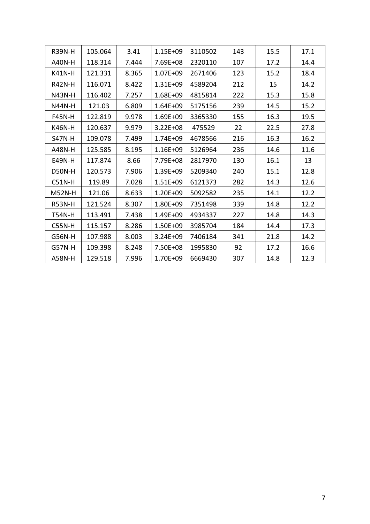| <b>R39N-H</b> | 105.064 | 3.41  | 1.15E+09     | 3110502 | 143 | 15.5 | 17.1 |
|---------------|---------|-------|--------------|---------|-----|------|------|
| <b>A40N-H</b> | 118.314 | 7.444 | 7.69E+08     | 2320110 | 107 | 17.2 | 14.4 |
| <b>K41N-H</b> | 121.331 | 8.365 | 1.07E+09     | 2671406 | 123 | 15.2 | 18.4 |
| <b>R42N-H</b> | 116.071 | 8.422 | 1.31E+09     | 4589204 | 212 | 15   | 14.2 |
| <b>N43N-H</b> | 116.402 | 7.257 | 1.68E+09     | 4815814 | 222 | 15.3 | 15.8 |
| <b>N44N-H</b> | 121.03  | 6.809 | $1.64E + 09$ | 5175156 | 239 | 14.5 | 15.2 |
| <b>F45N-H</b> | 122.819 | 9.978 | 1.69E+09     | 3365330 | 155 | 16.3 | 19.5 |
| <b>K46N-H</b> | 120.637 | 9.979 | 3.22E+08     | 475529  | 22  | 22.5 | 27.8 |
| <b>S47N-H</b> | 109.078 | 7.499 | 1.74E+09     | 4678566 | 216 | 16.3 | 16.2 |
| <b>A48N-H</b> | 125.585 | 8.195 | 1.16E+09     | 5126964 | 236 | 14.6 | 11.6 |
| <b>E49N-H</b> | 117.874 | 8.66  | 7.79E+08     | 2817970 | 130 | 16.1 | 13   |
| D50N-H        | 120.573 | 7.906 | 1.39E+09     | 5209340 | 240 | 15.1 | 12.8 |
| $C51N-H$      | 119.89  | 7.028 | 1.51E+09     | 6121373 | 282 | 14.3 | 12.6 |
| <b>M52N-H</b> | 121.06  | 8.633 | 1.20E+09     | 5092582 | 235 | 14.1 | 12.2 |
| <b>R53N-H</b> | 121.524 | 8.307 | 1.80E+09     | 7351498 | 339 | 14.8 | 12.2 |
| <b>T54N-H</b> | 113.491 | 7.438 | 1.49E+09     | 4934337 | 227 | 14.8 | 14.3 |
| <b>C55N-H</b> | 115.157 | 8.286 | 1.50E+09     | 3985704 | 184 | 14.4 | 17.3 |
| G56N-H        | 107.988 | 8.003 | 3.24E+09     | 7406184 | 341 | 21.8 | 14.2 |
| <b>G57N-H</b> | 109.398 | 8.248 | 7.50E+08     | 1995830 | 92  | 17.2 | 16.6 |
| <b>A58N-H</b> | 129.518 | 7.996 | 1.70E+09     | 6669430 | 307 | 14.8 | 12.3 |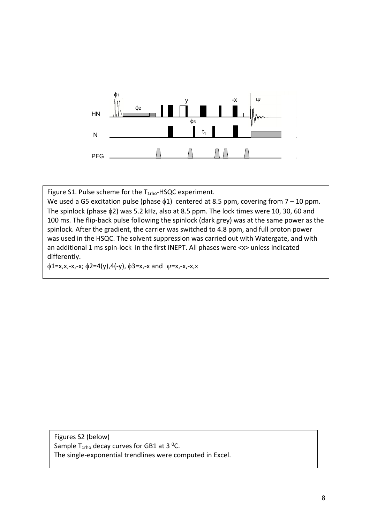

Figure S1. Pulse scheme for the T<sub>1rho</sub>-HSQC experiment.

We used a G5 excitation pulse (phase  $\phi$ 1) centered at 8.5 ppm, covering from 7 – 10 ppm. The spinlock (phase  $\phi$ 2) was 5.2 kHz, also at 8.5 ppm. The lock times were 10, 30, 60 and 100 ms. The flip-back pulse following the spinlock (dark grey) was at the same power as the spinlock. After the gradient, the carrier was switched to 4.8 ppm, and full proton power was used in the HSQC. The solvent suppression was carried out with Watergate, and with an additional 1 ms spin-lock in the first INEPT. All phases were <x> unless indicated differently.

 $\phi$ 1=x,x,-x,-x;  $\phi$ 2=4(y),4(-y),  $\phi$ 3=x,-x and  $\psi$ =x,-x,-x,x

Figures S2 (below) Sample T<sub>1rho</sub> decay curves for GB1 at 3 <sup>o</sup>C. The single-exponential trendlines were computed in Excel.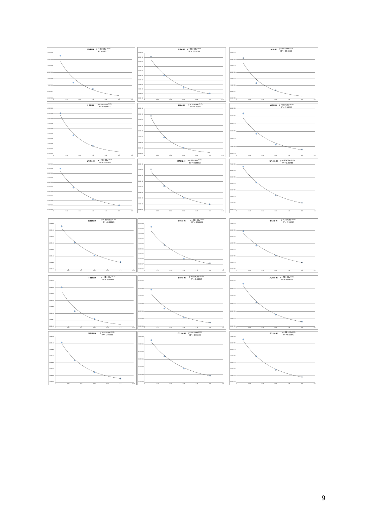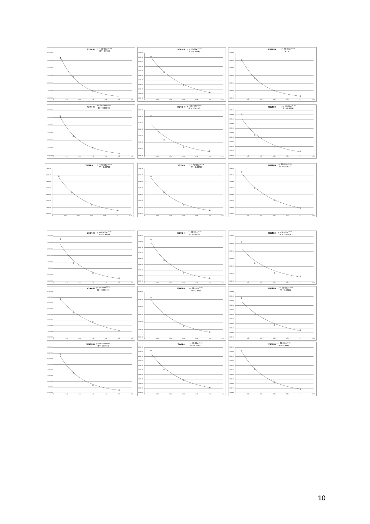